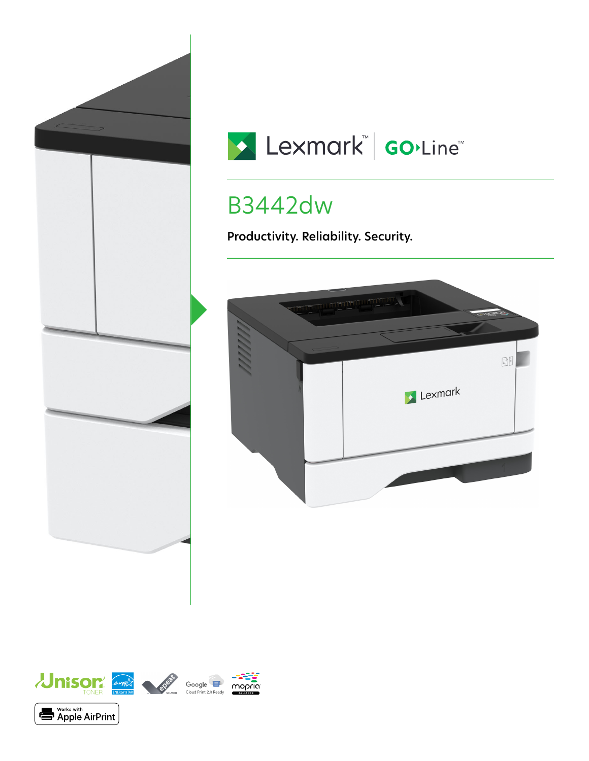



# B3442dw

**Productivity. Reliability. Security.**



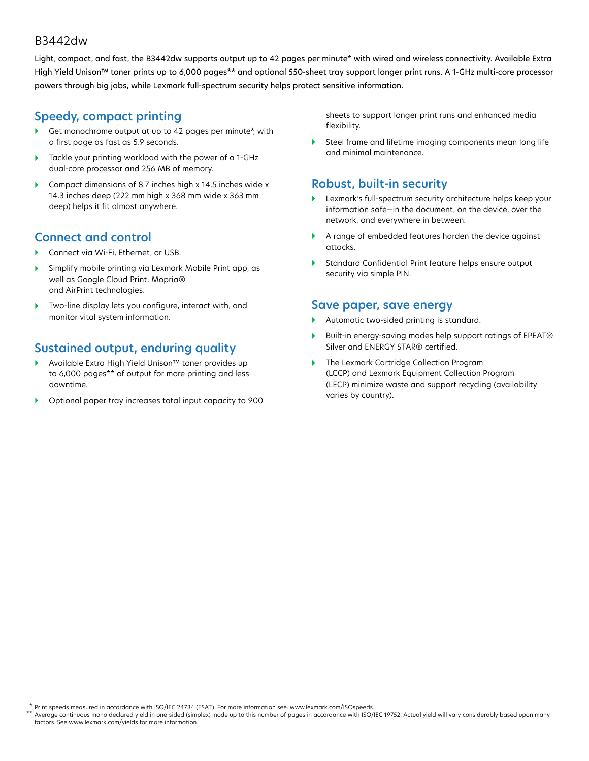#### B3442dw

Light, compact, and fast, the B3442dw supports output up to 42 pages per minute\* with wired and wireless connectivity. Available Extra High Yield Unison™ toner prints up to 6,000 pages\*\* and optional 550-sheet tray support longer print runs. A 1-GHz multi-core processor powers through big jobs, while Lexmark full-spectrum security helps protect sensitive information.

### **Speedy, compact printing**

- Get monochrome output at up to 42 pages per minute\*, with a first page as fast as 5.9 seconds.
- Tackle your printing workload with the power of a 1-GHz dual-core processor and 256 MB of memory.
- Compact dimensions of 8.7 inches high x 14.5 inches wide x 14.3 inches deep (222 mm high x 368 mm wide x 363 mm deep) helps it fit almost anywhere.

### **Connect and control**

- Connect via Wi-Fi, Ethernet, or USB.
- Simplify mobile printing via Lexmark Mobile Print app, as well as Google Cloud Print, Mopria® and AirPrint technologies.
- Two-line display lets you configure, interact with, and monitor vital system information.

## **Sustained output, enduring quality**

- Available Extra High Yield Unison™ toner provides up to 6,000 pages\*\* of output for more printing and less downtime.
- Optional paper tray increases total input capacity to 900

sheets to support longer print runs and enhanced media flexibility.

 Steel frame and lifetime imaging components mean long life and minimal maintenance.

#### **Robust, built-in security**

- Lexmark's full-spectrum security architecture helps keep your information safe—in the document, on the device, over the network, and everywhere in between.
- A range of embedded features harden the device against attacks.
- Standard Confidential Print feature helps ensure output security via simple PIN.

#### **Save paper, save energy**

- Automatic two-sided printing is standard.
- Built-in energy-saving modes help support ratings of EPEAT® Silver and ENERGY STAR® certified.
- The Lexmark Cartridge Collection Program (LCCP) and Lexmark Equipment Collection Program (LECP) minimize waste and support recycling (availability varies by country).

Print speeds measured in accordance with ISO/IEC 24734 (ESAT). For more information see: www.lexmark.com/ISOspeeds. \*

Average continuous mono declared yield in one-sided (simplex) mode up to this number of pages in accordance with ISO/IEC 19752. Actual yield will vary considerably based upon many factors. See www.lexmark.com/yields for more information. \*\*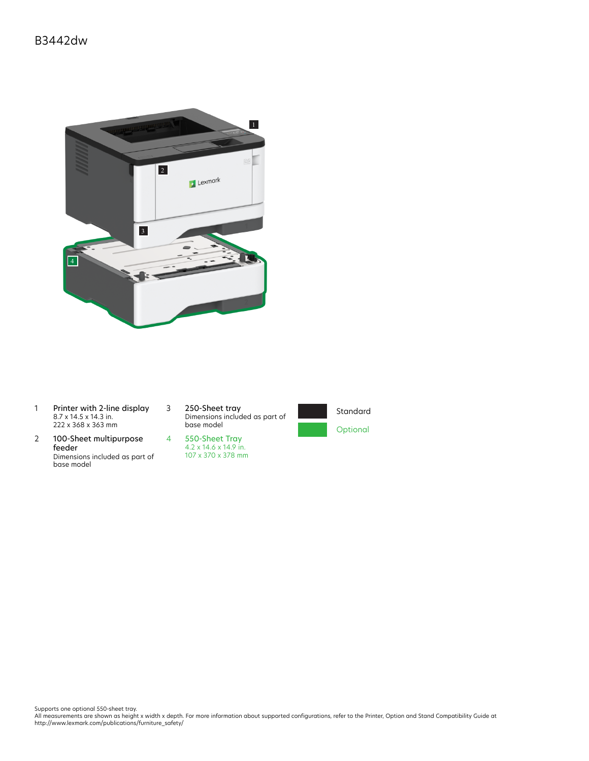

- 1 Printer with 2-line display 8.7 x 14.5 x 14.3 in. 222 x 368 x 363 mm
- 2 100-Sheet multipurpose feeder Dimensions included as part of base model

3 250-Sheet tray Dimensions included as part of base model





Supports one optional 550-sheet tray.<br>All measurements are shown as height x width x depth. For more information about supported configurations, refer to the Printer, Option and Stand Compatibility Guide at<br>http://www.lexm